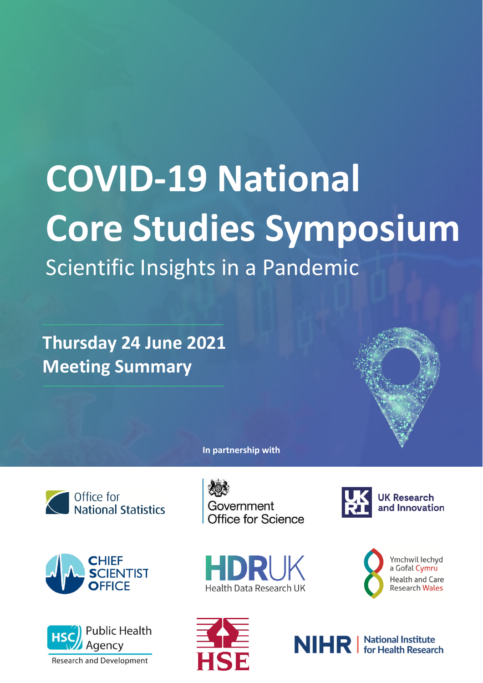# **COVID-19 National Core Studies Symposium**

Scientific Insights in a Pandemic

**Thursday 24 June 2021 Meeting Summary**

**In partnership with**

















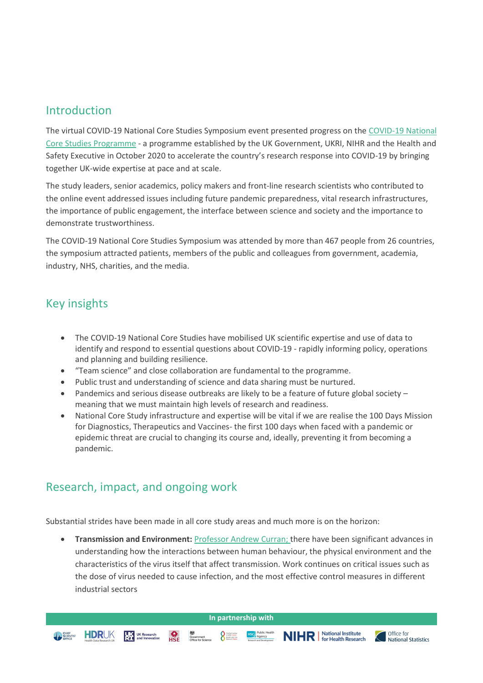#### Introduction

The virtual COVID-19 National Core Studies Symposium event presented progress on the [COVID-19 National](https://www.hdruk.ac.uk/covid-19/covid-19-national-core-studies/)  [Core Studies](https://www.hdruk.ac.uk/covid-19/covid-19-national-core-studies/) Programme - a programme established by the UK Government, UKRI, NIHR and the Health and Safety Executive in October 2020 to accelerate the country's research response into COVID-19 by bringing together UK-wide expertise at pace and at scale.

The study leaders, senior academics, policy makers and front-line research scientists who contributed to the online event addressed issues including future pandemic preparedness, vital research infrastructures, the importance of public engagement, the interface between science and society and the importance to demonstrate trustworthiness.

The COVID-19 National Core Studies Symposium was attended by more than 467 people from 26 countries, the symposium attracted patients, members of the public and colleagues from government, academia, industry, NHS, charities, and the media.

## Key insights

- The COVID-19 National Core Studies have mobilised UK scientific expertise and use of data to identify and respond to essential questions about COVID-19 - rapidly informing policy, operations and planning and building resilience.
- "Team science" and close collaboration are fundamental to the programme.
- Public trust and understanding of science and data sharing must be nurtured.
- Pandemics and serious disease outbreaks are likely to be a feature of future global society meaning that we must maintain high levels of research and readiness.
- National Core Study infrastructure and expertise will be vital if we are realise the 100 Days Mission for Diagnostics, Therapeutics and Vaccines- the first 100 days when faced with a pandemic or epidemic threat are crucial to changing its course and, ideally, preventing it from becoming a pandemic.

## Research, impact, and ongoing work

**A SHEET HDRUK MY UK Research EXE SOLERN SCIENCE AND SCIENCE AND THE SCIENCE OF SOLERN SCIENCE AND SCIENCE OF SCIENCE AND SCIENCE OF STATE OF STATE OF STATE OF STATE OF STATE OF STATE OF STATE OF STATE OF STATE OF STATE OF** 

Substantial strides have been made in all core study areas and much more is on the horizon:

• **Transmission and Environment:** [Professor Andrew Curran;](https://www.gov.uk/government/people/andrew-curran) there have been significant advances in understanding how the interactions between human behaviour, the physical environment and the characteristics of the virus itself that affect transmission. Work continues on critical issues such as the dose of virus needed to cause infection, and the most effective control measures in different industrial sectors

HSC Public Health

**NIHR** Mational Institute

Office for

National Statistics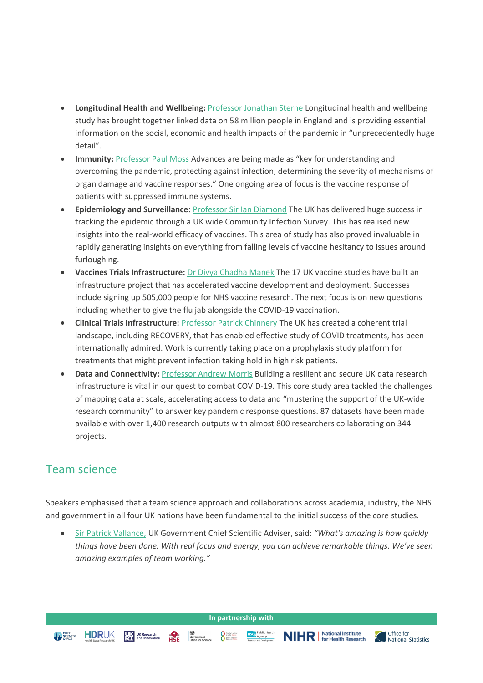- **Longitudinal Health and Wellbeing:** [Professor Jonathan Sterne](https://www.bristol.ac.uk/people/person/Jonathan-Sterne-a3e0a405-8096-424d-a966-e082d3dfcf67) Longitudinal health and wellbeing study has brought together linked data on 58 million people in England and is providing essential information on the social, economic and health impacts of the pandemic in "unprecedentedly huge detail".
- **Immunity:** [Professor Paul Moss](https://www.birmingham.ac.uk/staff/profiles/immunology-immunotherapy/moss-paul.aspx) Advances are being made as "key for understanding and overcoming the pandemic, protecting against infection, determining the severity of mechanisms of organ damage and vaccine responses." One ongoing area of focus is the vaccine response of patients with suppressed immune systems.
- **Epidemiology and Surveillance:** [Professor Sir Ian Diamond](https://www.gov.uk/government/people/ian-diamond) The UK has delivered huge success in tracking the epidemic through a UK wide Community Infection Survey. This has realised new insights into the real-world efficacy of vaccines. This area of study has also proved invaluable in rapidly generating insights on everything from falling levels of vaccine hesitancy to issues around furloughing.
- **Vaccines Trials Infrastructure:** [Dr Divya Chadha Manek](https://www.nihr.ac.uk/news/nihr-clinical-research-network-appoints-new-director-of-business-development-and-marketing/26815) The 17 UK vaccine studies have built an infrastructure project that has accelerated vaccine development and deployment. Successes include signing up 505,000 people for NHS vaccine research. The next focus is on new questions including whether to give the flu jab alongside the COVID-19 vaccination.
- **Clinical Trials Infrastructure:** [Professor Patrick Chinnery](https://cambridgebrc.nihr.ac.uk/research/neuroscience/contact-details/) The UK has created a coherent trial landscape, including RECOVERY, that has enabled effective study of COVID treatments, has been internationally admired. Work is currently taking place on a prophylaxis study platform for treatments that might prevent infection taking hold in high risk patients.
- **Data and Connectivity:** [Professor Andrew Morris](https://www.hdruk.ac.uk/people/andrew-morris/) Building a resilient and secure UK data research infrastructure is vital in our quest to combat COVID-19. This core study area tackled the challenges of mapping data at scale, accelerating access to data and "mustering the support of the UK-wide research community" to answer key pandemic response questions. 87 datasets have been made available with over 1,400 research outputs with almost 800 researchers collaborating on 344 projects.

# Team science

Speakers emphasised that a team science approach and collaborations across academia, industry, the NHS and government in all four UK nations have been fundamental to the initial success of the core studies.

• [Sir Patrick Vallance,](https://www.gov.uk/government/people/patrick-vallance) UK Government Chief Scientific Adviser, said: *"What's amazing is how quickly things have been done. With real focus and energy, you can achieve remarkable things. We've seen amazing examples of team working."*

HSC Public Health

**A SHEET HDRUK TA UK Research The Conserver Comment of the Conserver Comment Comment Comment Comment** 

**NIHR** | National Institute

Office for

National Statistics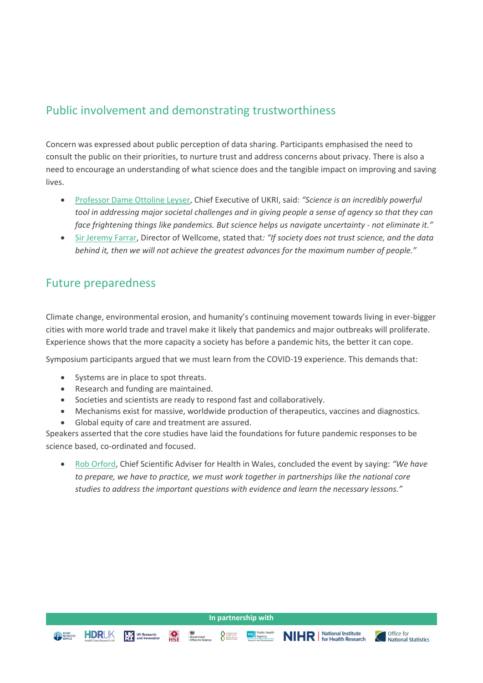## Public involvement and demonstrating trustworthiness

Concern was expressed about public perception of data sharing. Participants emphasised the need to consult the public on their priorities, to nurture trust and address concerns about privacy. There is also a need to encourage an understanding of what science does and the tangible impact on improving and saving lives.

- [Professor Dame Ottoline Leyser,](https://www.ukri.org/about-us/our-structure/ukri-board/chief-executive/) Chief Executive of UKRI, said: *"Science is an incredibly powerful tool in addressing major societal challenges and in giving people a sense of agency so that they can face frightening things like pandemics. But science helps us navigate uncertainty - not eliminate it."*
- [Sir Jeremy Farrar,](https://wellcome.org/who-we-are/people/sir-jeremy-farrar) Director of Wellcome, stated that*: "If society does not trust science, and the data behind it, then we will not achieve the greatest advances for the maximum number of people."*

#### Future preparedness

Climate change, environmental erosion, and humanity's continuing movement towards living in ever-bigger cities with more world trade and travel make it likely that pandemics and major outbreaks will proliferate. Experience shows that the more capacity a society has before a pandemic hits, the better it can cope.

Symposium participants argued that we must learn from the COVID-19 experience. This demands that:

- Systems are in place to spot threats.
- Research and funding are maintained.
- Societies and scientists are ready to respond fast and collaboratively.
- Mechanisms exist for massive, worldwide production of therapeutics, vaccines and diagnostics.
- Global equity of care and treatment are assured.

Speakers asserted that the core studies have laid the foundations for future pandemic responses to be science based, co-ordinated and focused.

• [Rob Orford,](https://gov.wales/dr-rob-orford) Chief Scientific Adviser for Health in Wales, concluded the event by saying: *"We have to prepare, we have to practice, we must work together in partnerships like the national core studies to address the important questions with evidence and learn the necessary lessons."*